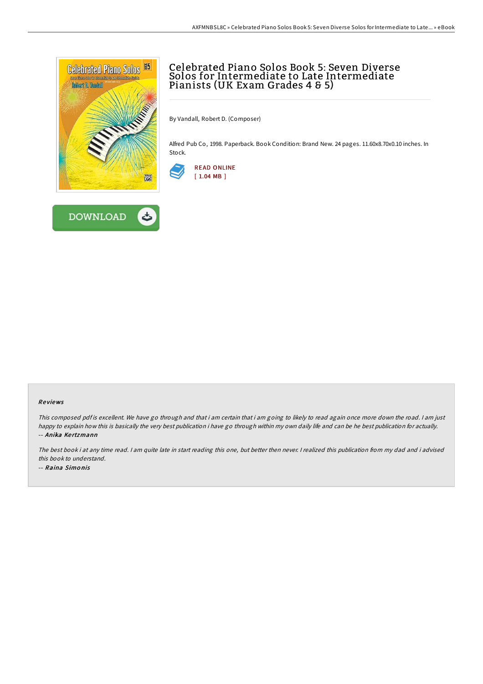

# Celebrated Piano Solos Book 5: Seven Diverse Solos for Intermediate to Late Intermediate Pianists (UK Exam Grades 4 & 5)

By Vandall, Robert D. (Composer)

Alfred Pub Co, 1998. Paperback. Book Condition: Brand New. 24 pages. 11.60x8.70x0.10 inches. In Stock.





#### Re views

This composed pdf is excellent. We have go through and that i am certain that i am going to likely to read again once more down the road. I am just happy to explain how this is basically the very best publication i have go through within my own daily life and can be he best publication for actually. -- Anika Ke rtzmann

The best book i at any time read. <sup>I</sup> am quite late in start reading this one, but better then never. <sup>I</sup> realized this publication from my dad and i advised this book to understand. -- Raina Simo nis